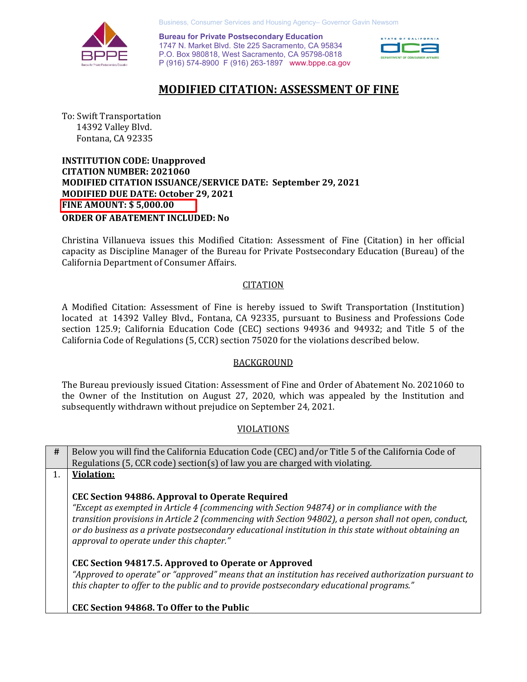

Business, Consumer Services and Housing Agency– Governor Gavin Newsom

 P (916) 574-8900 F (916) 263-1897 <www.bppe.ca.gov> **Bureau for Private Postsecondary Education**  1747 N. Market Blvd. Ste 225 Sacramento, CA 95834 P.O. Box 980818, West Sacramento, CA 95798-0818



## **MODIFIED CITATION: ASSESSMENT OF FINE**

To: Swift Transportation 14392 Valley Blvd. Fontana, CA 92335

 **MODIFIED CITATION ISSUANCE/SERVICE DATE: September 29, 2021 MODIFIED DUE DATE: October 29, 2021 MODIFIED DUE DATE: October 29, 2021 INSTITUTION CODE: Unapproved CITATION NUMBER: 2021060 FINE AMOUNT: \$ [5,000.00](https://5,000.00) ORDER OF ABATEMENT INCLUDED: No** 

 capacity as Discipline Manager of the Bureau for Private Postsecondary Education (Bureau) of the California Department of Consumer Affairs. Christina Villanueva issues this Modified Citation: Assessment of Fine (Citation) in her official

#### **CITATION**

 located at 14392 Valley Blvd., Fontana, CA 92335, pursuant to Business and Professions Code California Code of Regulations (5, CCR) section 75020 for the violations described below. A Modified Citation: Assessment of Fine is hereby issued to Swift Transportation (Institution) section 125.9; California Education Code (CEC) sections 94936 and 94932; and Title 5 of the

#### BACKGROUND

 The Bureau previously issued Citation: Assessment of Fine and Order of Abatement No. 2021060 to the Owner of the Institution on August 27, 2020, which was appealed by the Institution and subsequently withdrawn without prejudice on September 24, 2021.

#### VIOLATIONS

 **#** Below you will find the California Education Code (CEC) and/or Title 5 of the California Code of Regulations (5, CCR code) section(s) of law you are charged with violating.

1. **Violation:** 

#### **CEC Section 94886. Approval to Operate Required**

 *"Except as exempted in Article 4 (commencing with Section 94874) or in compliance with the transition provisions in Article 2 (commencing with Section 94802), a person shall not open, conduct, or do business as a private postsecondary educational institution in this state without obtaining an approval to operate under this chapter."* 

 **CEC Section 94817.5. Approved to Operate or Approved** 

 *"Approved to operate" or "approved" means that an institution has received authorization pursuant to this chapter to offer to the public and to provide postsecondary educational programs."* 

#### **CEC Section 94868. To Offer to the Public**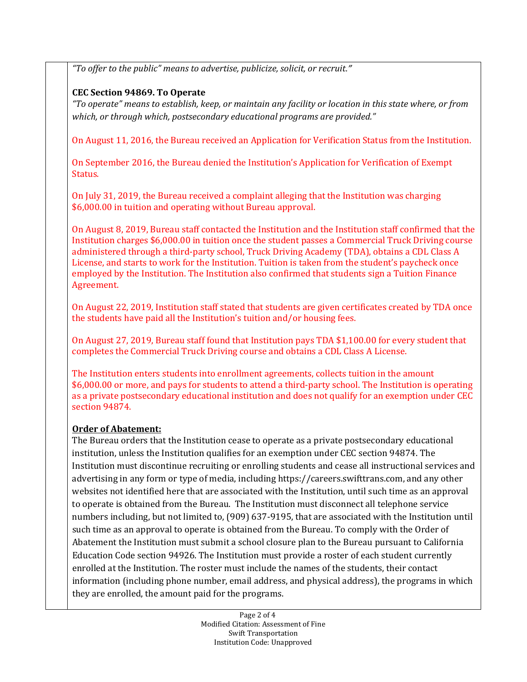*"To offer to the public" means to advertise, publicize, solicit, or recruit."* 

### **CEC Section 94869. To Operate**

 *"To operate" means to establish, keep, or maintain any facility or location in this state where, or from which, or through which, postsecondary educational programs are provided."* 

On August 11, 2016, the Bureau received an Application for Verification Status from the Institution.

 On September 2016, the Bureau denied the Institution's Application for Verification of Exempt Status.

 On July 31, 2019, the Bureau received a complaint alleging that the Institution was charging \$[6,000.00](https://6,000.00) in tuition and operating without Bureau approval.

 On August 8, 2019, Bureau staff contacted the Institution and the Institution staff confirmed that the Institution charges [\\$6,000.00](https://6,000.00) in tuition once the student passes a Commercial Truck Driving course administered through a third-party school, Truck Driving Academy (TDA), obtains a CDL Class A License, and starts to work for the Institution. Tuition is taken from the student's paycheck once employed by the Institution. The Institution also confirmed that students sign a Tuition Finance Agreement.

 On August 22, 2019, Institution staff stated that students are given certificates created by TDA once the students have paid all the Institution's tuition and/or housing fees.

 On August 27, 2019, Bureau staff found that Institution pays TDA [\\$1,100.00](https://1,100.00) for every student that completes the Commercial Truck Driving course and obtains a CDL Class A License.

 The Institution enters students into enrollment agreements, collects tuition in the amount \$[6,000.00](https://6,000.00) or more, and pays for students to attend a third-party school. The Institution is operating as a private postsecondary educational institution and does not qualify for an exemption under CEC section 94874.

### **Order of Abatement:**

 The Bureau orders that the Institution cease to operate as a private postsecondary educational institution, unless the Institution qualifies for an exemption under CEC section 94874. The Institution must discontinue recruiting or enrolling students and cease all instructional services and advertising in any form or type of media, including<https://careers.swifttrans.com>, and any other websites not identified here that are associated with the Institution, until such time as an approval to operate is obtained from the Bureau. The Institution must disconnect all telephone service numbers including, but not limited to, (909) 637-9195, that are associated with the Institution until such time as an approval to operate is obtained from the Bureau. To comply with the Order of Abatement the Institution must submit a school closure plan to the Bureau pursuant to California Education Code section 94926. The Institution must provide a roster of each student currently enrolled at the Institution. The roster must include the names of the students, their contact information (including phone number, email address, and physical address), the programs in which they are enrolled, the amount paid for the programs.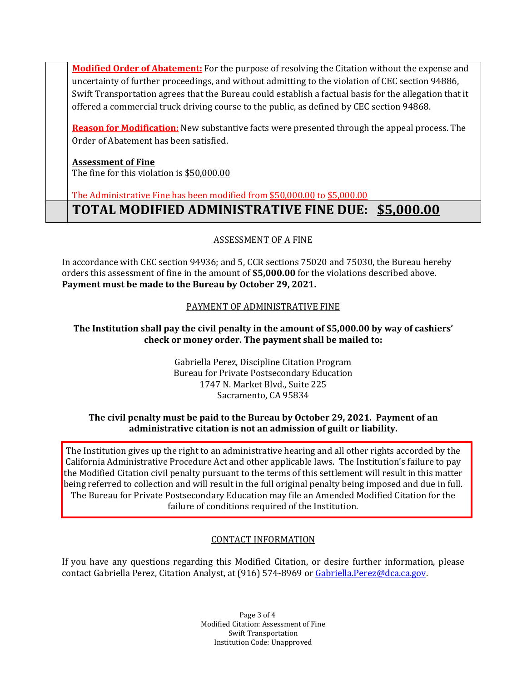**Modified Order of Abatement:** For the purpose of resolving the Citation without the expense and uncertainty of further proceedings, and without admitting to the violation of CEC section 94886, Swift Transportation agrees that the Bureau could establish a factual basis for the allegation that it offered a commercial truck driving course to the public, as defined by CEC section 94868.

 **Reason for Modification:** New substantive facts were presented through the appeal process. The Order of Abatement has been satisfied.

#### **Assessment of Fine**

The fine for this violation is <u>\$50,000.00</u>

The Administrative Fine has been modified from \$50,000.00 to \$5,000.00

 **TOTAL MODIFIED ADMINISTRATIVE FINE DUE: \$5,000.00** 

# ASSESSMENT OF A FINE

 In accordance with CEC section 94936; and 5, CCR sections 75020 and 75030, the Bureau hereby orders this assessment of fine in the amount of **[\\$5,000.00](https://5,000.00)** for the violations described above.  **Payment must be made to the Bureau by October 29, 2021.** 

# PAYMENT OF ADMINISTRATIVE FINE

### **The Institution shall pay the civil penalty in the amount of [\\$5,000.00](https://5,000.00) by way of cashiers' check or money order. The payment shall be mailed to:**

 Gabriella Perez, Discipline Citation Program Bureau for Private Postsecondary Education 1747 N. Market Blvd., Suite 225 Sacramento, CA 95834

#### **The civil penalty must be paid to the Bureau by October 29, 2021. Payment of an administrative citation is not an admission of guilt or liability.**

 The Institution gives up the right to an administrative hearing and all other rights accorded by the California Administrative Procedure Act and other applicable laws. The Institution's failure to pay the Modified Citation civil penalty pursuant to the terms of this settlement will result in this matter being referred to collection and will result in the full original penalty being imposed and due in full. The Bureau for Private Postsecondary Education may file an Amended Modified Citation for the failure of conditions required of the Institution.

### CONTACT INFORMATION

contact Gabriella Perez, Citation Analyst, at (916) 574-8969 or <u>Gabriella.Perez@dca.ca.gov</u>. If you have any questions regarding this Modified Citation, or desire further information, please

> J Page 3 of 4 Modified Citation: Assessment of Fine Swift Transportation Institution Code: Unapproved